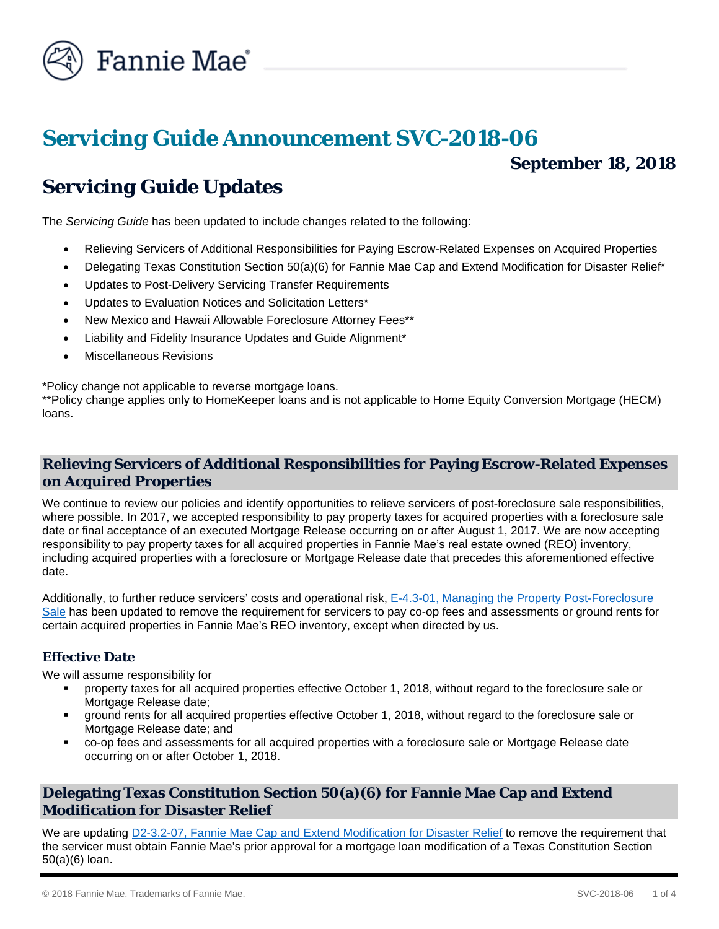

# *Servicing Guide* **Announcement SVC-2018-06**

# **September 18, 2018**

# *Servicing Guide* **Updates**

The *Servicing Guide* has been updated to include changes related to the following:

- Relieving Servicers of Additional Responsibilities for Paying Escrow-Related Expenses on Acquired Properties
- Delegating Texas Constitution Section 50(a)(6) for Fannie Mae Cap and Extend Modification for Disaster Relief\*
- Updates to Post-Delivery Servicing Transfer Requirements
- Updates to Evaluation Notices and Solicitation Letters\*
- New Mexico and Hawaii Allowable Foreclosure Attorney Fees\*\*
- Liability and Fidelity Insurance Updates and Guide Alignment\*
- Miscellaneous Revisions

\*Policy change not applicable to reverse mortgage loans.

\*\*Policy change applies only to HomeKeeper loans and is not applicable to Home Equity Conversion Mortgage (HECM) loans.

# **Relieving Servicers of Additional Responsibilities for Paying Escrow-Related Expenses on Acquired Properties**

We continue to review our policies and identify opportunities to relieve servicers of post-foreclosure sale responsibilities, where possible. In 2017, we accepted responsibility to pay property taxes for acquired properties with a foreclosure sale date or final acceptance of an executed Mortgage Release occurring on or after August 1, 2017. We are now accepting responsibility to pay property taxes for all acquired properties in Fannie Mae's real estate owned (REO) inventory, including acquired properties with a foreclosure or Mortgage Release date that precedes this aforementioned effective date.

Additionally, to further reduce servicers' costs and operational risk, E-4.3-01, Managing the Property Post-Foreclosure [Sale](https://www.fanniemae.com/content/guide/svc091818.pdf#page=507) has been updated to remove the requirement for servicers to pay co-op fees and assessments or ground rents for certain acquired properties in Fannie Mae's REO inventory, except when directed by us.

# **Effective Date**

We will assume responsibility for

- property taxes for all acquired properties effective October 1, 2018, without regard to the foreclosure sale or Mortgage Release date;
- ground rents for all acquired properties effective October 1, 2018, without regard to the foreclosure sale or Mortgage Release date; and
- co-op fees and assessments for all acquired properties with a foreclosure sale or Mortgage Release date occurring on or after October 1, 2018.

# **Delegating Texas Constitution Section 50(a)(6) for Fannie Mae Cap and Extend Modification for Disaster Relief**

We are updating D2-3.2-07, [Fannie Mae Cap and Extend Modification for Disaster Relief](https://www.fanniemae.com/content/guide/svc091818.pdf#page=361) to remove the requirement that the servicer must obtain Fannie Mae's prior approval for a mortgage loan modification of a Texas Constitution Section 50(a)(6) loan.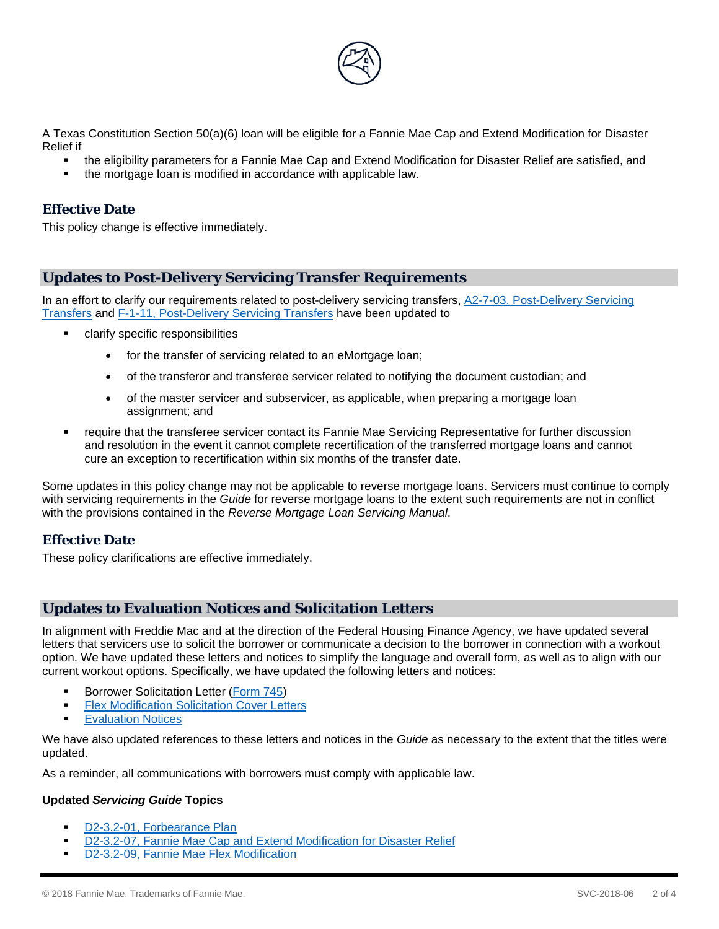

A Texas Constitution Section 50(a)(6) loan will be eligible for a Fannie Mae Cap and Extend Modification for Disaster Relief if

- the eligibility parameters for a Fannie Mae Cap and Extend Modification for Disaster Relief are satisfied, and
- the mortgage loan is modified in accordance with applicable law.

#### **Effective Date**

This policy change is effective immediately.

## **Updates to Post-Delivery Servicing Transfer Requirements**

In an effort to clarify our requirements related to post-delivery servicing transfers, A2-7-03, [Post-Delivery Servicing](https://www.fanniemae.com/content/guide/svc091818.pdf#page=130)  [Transfers](https://www.fanniemae.com/content/guide/svc091818.pdf#page=130) and F-1-11, [Post-Delivery Servicing Transfers](https://www.fanniemae.com/content/guide/svc091818.pdf#page=607) have been updated to

- clarify specific responsibilities
	- for the transfer of servicing related to an eMortgage loan;
	- of the transferor and transferee servicer related to notifying the document custodian; and
	- of the master servicer and subservicer, as applicable, when preparing a mortgage loan assignment; and
- require that the transferee servicer contact its Fannie Mae Servicing Representative for further discussion and resolution in the event it cannot complete recertification of the transferred mortgage loans and cannot cure an exception to recertification within six months of the transfer date.

Some updates in this policy change may not be applicable to reverse mortgage loans. Servicers must continue to comply with servicing requirements in the *Guide* for reverse mortgage loans to the extent such requirements are not in conflict with the provisions contained in the *Reverse Mortgage Loan Servicing Manual*.

## **Effective Date**

These policy clarifications are effective immediately.

## **Updates to Evaluation Notices and Solicitation Letters**

In alignment with Freddie Mac and at the direction of the Federal Housing Finance Agency, we have updated several letters that servicers use to solicit the borrower or communicate a decision to the borrower in connection with a workout option. We have updated these letters and notices to simplify the language and overall form, as well as to align with our current workout options. Specifically, we have updated the following letters and notices:

- Borrower Solicitation Letter [\(Form 745\)](https://www.fanniemae.com/content/guide_form/745.doc)
- [Flex Modification Solicitation Cover Letters](https://www.fanniemae.com/content/guide_exhibit/flex-modification-solicitation-cover-letters.doc)
- [Evaluation Notices](https://www.fanniemae.com/content/guide_exhibit/evaluation-model-clauses.doc)

We have also updated references to these letters and notices in the *Guide* as necessary to the extent that the titles were updated.

As a reminder, all communications with borrowers must comply with applicable law.

#### **Updated** *Servicing Guide* **Topics**

- D2-3.2-01, [Forbearance Plan](https://www.fanniemae.com/content/guide/svc091818.pdf#page=348)
- D2-3.2-07, [Fannie Mae Cap and Extend Modification for Disaster Relief](https://www.fanniemae.com/content/guide/svc091818.pdf#page=361)
- D2-3.2-09, [Fannie Mae Flex Modification](https://www.fanniemae.com/content/guide/svc091818.pdf#page=368)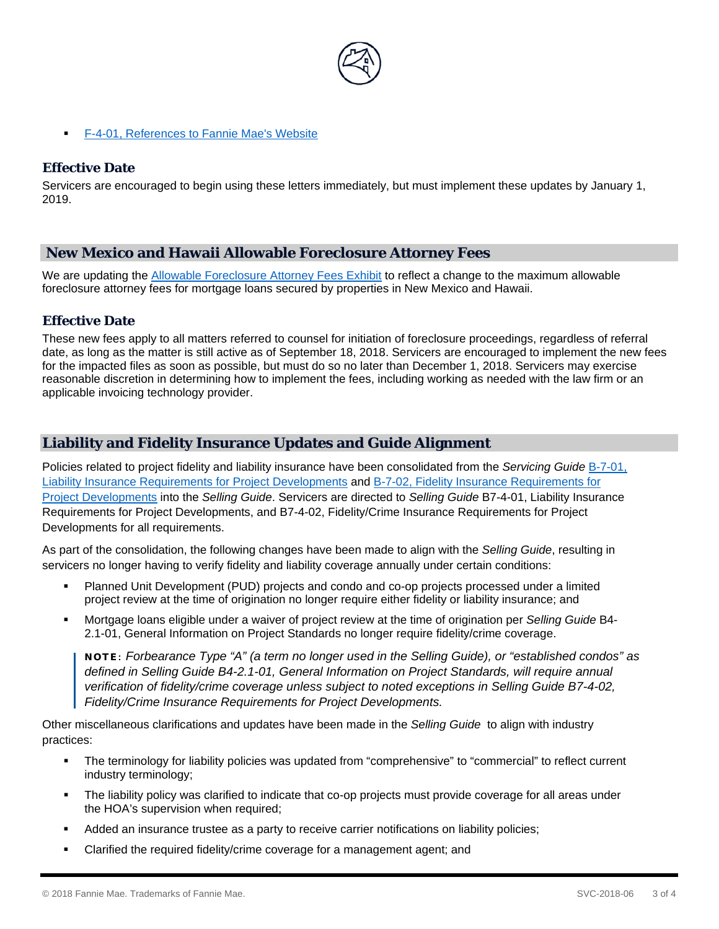

F-4-01, [References to Fannie Mae's Website](https://www.fanniemae.com/content/guide/svc091818.pdf#page=782)

#### **Effective Date**

Servicers are encouraged to begin using these letters immediately, but must implement these updates by January 1, 2019.

#### **New Mexico and Hawaii Allowable Foreclosure Attorney Fees**

We are updating the [Allowable Foreclosure Attorney Fees](https://www.fanniemae.com/content/guide_exhibit/allowable-attorney-trustee-foreclosure-fees.pdf) Exhibit to reflect a change to the maximum allowable foreclosure attorney fees for mortgage loans secured by properties in New Mexico and Hawaii.

#### **Effective Date**

These new fees apply to all matters referred to counsel for initiation of foreclosure proceedings, regardless of referral date, as long as the matter is still active as of September 18, 2018. Servicers are encouraged to implement the new fees for the impacted files as soon as possible, but must do so no later than December 1, 2018. Servicers may exercise reasonable discretion in determining how to implement the fees, including working as needed with the law firm or an applicable invoicing technology provider.

#### **Liability and Fidelity Insurance Updates and Guide Alignment**

Policies related to project fidelity and liability insurance have been consolidated from the *Servicing Guide* [B-7-01,](https://www.fanniemae.com/content/guide/svc091818.pdf#page=222) [Liability Insurance Requirements for Project Developments](https://www.fanniemae.com/content/guide/svc091818.pdf#page=222) and B-7-02, [Fidelity Insurance Requirements for](https://www.fanniemae.com/content/guide/svc091818.pdf#page=223)  [Project Developments](https://www.fanniemae.com/content/guide/svc091818.pdf#page=223) into the *Selling Guide*. Servicers are directed to *Selling Guide* B7-4-01, Liability Insurance Requirements for Project Developments, and B7-4-02, Fidelity/Crime Insurance Requirements for Project Developments for all requirements.

As part of the consolidation, the following changes have been made to align with the *Selling Guide*, resulting in servicers no longer having to verify fidelity and liability coverage annually under certain conditions:

- Planned Unit Development (PUD) projects and condo and co-op projects processed under a limited project review at the time of origination no longer require either fidelity or liability insurance; and
- Mortgage loans eligible under a waiver of project review at the time of origination per *Selling Guide* B4- 2.1-01, General Information on Project Standards no longer require fidelity/crime coverage.

NOTE**:** *Forbearance Type "A" (a term no longer used in the Selling Guide), or "established condos" as defined in Selling Guide B4-2.1-01, General Information on Project Standards, will require annual verification of fidelity/crime coverage unless subject to noted exceptions in Selling Guide B7-4-02, Fidelity/Crime Insurance Requirements for Project Developments.*

Other miscellaneous clarifications and updates have been made in the *Selling Guide* to align with industry practices:

- The terminology for liability policies was updated from "comprehensive" to "commercial" to reflect current industry terminology;
- The liability policy was clarified to indicate that co-op projects must provide coverage for all areas under the HOA's supervision when required;
- Added an insurance trustee as a party to receive carrier notifications on liability policies;
- Clarified the required fidelity/crime coverage for a management agent; and